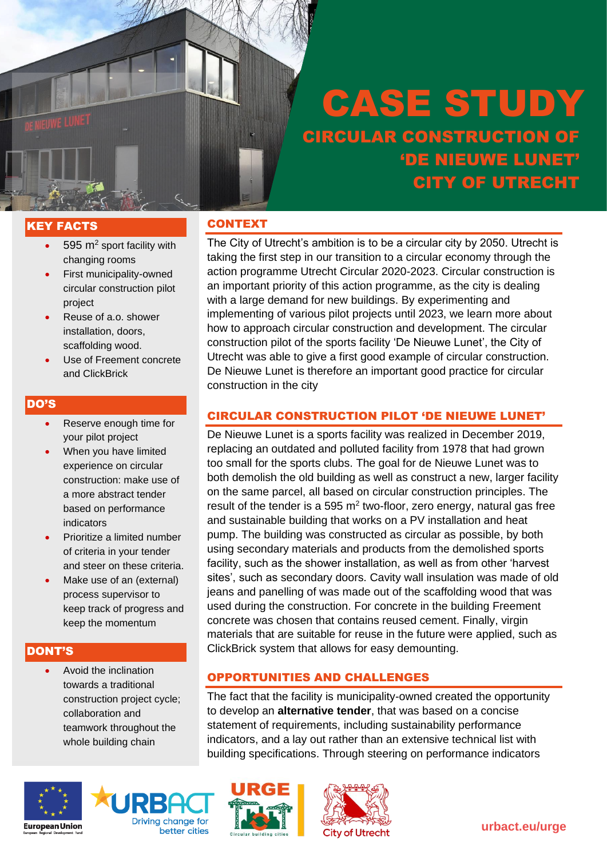# KEY FACTS

- $\cdot$  595 m<sup>2</sup> sport facility with changing rooms
- First municipality-owned circular construction pilot project
- Reuse of a.o. shower installation, doors, scaffolding wood.
- Use of Freement concrete and ClickBrick

#### DO'S

- Reserve enough time for your pilot project
- When you have limited experience on circular construction: make use of a more abstract tender based on performance indicators
- Prioritize a limited number of criteria in your tender and steer on these criteria.
- Make use of an (external) process supervisor to keep track of progress and keep the momentum

#### DONT'S

• Avoid the inclination towards a traditional construction project cycle; collaboration and teamwork throughout the whole building chain





## **CONTEXT**

The City of Utrecht's ambition is to be a circular city by 2050. Utrecht is taking the first step in our transition to a circular economy through the action programme Utrecht Circular 2020-2023. Circular construction is an important priority of this action programme, as the city is dealing with a large demand for new buildings. By experimenting and implementing of various pilot projects until 2023, we learn more about how to approach circular construction and development. The circular construction pilot of the sports facility 'De Nieuwe Lunet', the City of Utrecht was able to give a first good example of circular construction. De Nieuwe Lunet is therefore an important good practice for circular construction in the city

#### CIRCULAR CONSTRUCTION PILOT 'DE NIEUWE LUNET'

De Nieuwe Lunet is a sports facility was realized in December 2019, replacing an outdated and polluted facility from 1978 that had grown too small for the sports clubs. The goal for de Nieuwe Lunet was to both demolish the old building as well as construct a new, larger facility on the same parcel, all based on circular construction principles. The result of the tender is a 595  $m<sup>2</sup>$  two-floor, zero energy, natural gas free and sustainable building that works on a PV installation and heat pump. The building was constructed as circular as possible, by both using secondary materials and products from the demolished sports facility, such as the shower installation, as well as from other 'harvest sites', such as secondary doors. Cavity wall insulation was made of old jeans and panelling of was made out of the scaffolding wood that was used during the construction. For concrete in the building Freement concrete was chosen that contains reused cement. Finally, virgin materials that are suitable for reuse in the future were applied, such as ClickBrick system that allows for easy demounting.

#### OPPORTUNITIES AND CHALLENGES

The fact that the facility is municipality-owned created the opportunity to develop an **alternative tender**, that was based on a concise statement of requirements, including sustainability performance indicators, and a lay out rather than an extensive technical list with building specifications. Through steering on performance indicators





**urbact.eu/urge**

# CASE STUDY CIRCULAR CONSTRUCTION OF 'DE NIEUWE LUNET' CITY OF UTRECHT